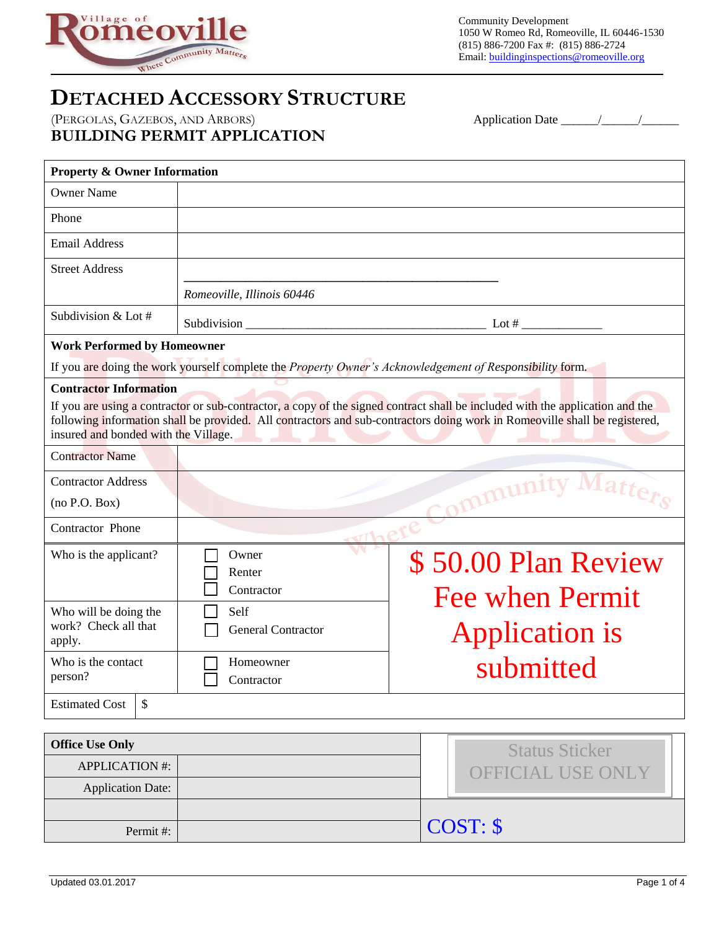

Community Development 1050 W Romeo Rd, Romeoville, IL 60446-1530 (815) 886-7200 Fax #: (815) 886-2724 Email: buildinginspections@romeoville.org

## **DETACHED ACCESSORY STRUCTURE**

(PERGOLAS, GAZEBOS, AND ARBORS) Application Date \_\_\_\_\_\_\_\_\_\_\_\_\_\_\_\_\_\_\_\_\_\_\_\_\_\_\_\_\_\_\_\_ **BUILDING PERMIT APPLICATION** 

| <b>Property &amp; Owner Information</b>    |               |                            |                                                                                                                                                                                                                                                             |  |  |  |  |  |
|--------------------------------------------|---------------|----------------------------|-------------------------------------------------------------------------------------------------------------------------------------------------------------------------------------------------------------------------------------------------------------|--|--|--|--|--|
| <b>Owner Name</b>                          |               |                            |                                                                                                                                                                                                                                                             |  |  |  |  |  |
| Phone                                      |               |                            |                                                                                                                                                                                                                                                             |  |  |  |  |  |
| <b>Email Address</b>                       |               |                            |                                                                                                                                                                                                                                                             |  |  |  |  |  |
| <b>Street Address</b>                      |               |                            |                                                                                                                                                                                                                                                             |  |  |  |  |  |
|                                            |               | Romeoville, Illinois 60446 |                                                                                                                                                                                                                                                             |  |  |  |  |  |
| Subdivision & Lot #                        |               |                            |                                                                                                                                                                                                                                                             |  |  |  |  |  |
| <b>Work Performed by Homeowner</b>         |               |                            |                                                                                                                                                                                                                                                             |  |  |  |  |  |
|                                            |               |                            | If you are doing the work yourself complete the Property Owner's Acknowledgement of Responsibility form.                                                                                                                                                    |  |  |  |  |  |
| <b>Contractor Information</b>              |               |                            |                                                                                                                                                                                                                                                             |  |  |  |  |  |
| insured and bonded with the Village.       |               |                            | If you are using a contractor or sub-contractor, a copy of the signed contract shall be included with the application and the<br>following information shall be provided. All contractors and sub-contractors doing work in Romeoville shall be registered, |  |  |  |  |  |
| <b>Contractor Name</b>                     |               |                            |                                                                                                                                                                                                                                                             |  |  |  |  |  |
| <b>Contractor Address</b><br>(no P.O. Box) |               |                            | mmuni                                                                                                                                                                                                                                                       |  |  |  |  |  |
|                                            |               |                            |                                                                                                                                                                                                                                                             |  |  |  |  |  |
| <b>Contractor Phone</b>                    |               |                            |                                                                                                                                                                                                                                                             |  |  |  |  |  |
| Who is the applicant?                      |               | Owner<br>Renter            | \$50.00 Plan Review                                                                                                                                                                                                                                         |  |  |  |  |  |
|                                            |               | Contractor                 |                                                                                                                                                                                                                                                             |  |  |  |  |  |
| Who will be doing the                      |               | Self                       | <b>Fee when Permit</b>                                                                                                                                                                                                                                      |  |  |  |  |  |
| work? Check all that<br>apply.             |               | <b>General Contractor</b>  | <b>Application is</b>                                                                                                                                                                                                                                       |  |  |  |  |  |
| Who is the contact                         |               | Homeowner                  | submitted                                                                                                                                                                                                                                                   |  |  |  |  |  |
| person?                                    |               | Contractor                 |                                                                                                                                                                                                                                                             |  |  |  |  |  |
| <b>Estimated Cost</b>                      | $\mathcal{S}$ |                            |                                                                                                                                                                                                                                                             |  |  |  |  |  |

| <b>Office Use Only</b> |  | <b>Status Sticker</b>    |
|------------------------|--|--------------------------|
| <b>APPLICATION #:</b>  |  | <b>OFFICIAL USE ONLY</b> |
| Application Date:      |  |                          |
|                        |  |                          |
| Permit#:               |  | COST: \$                 |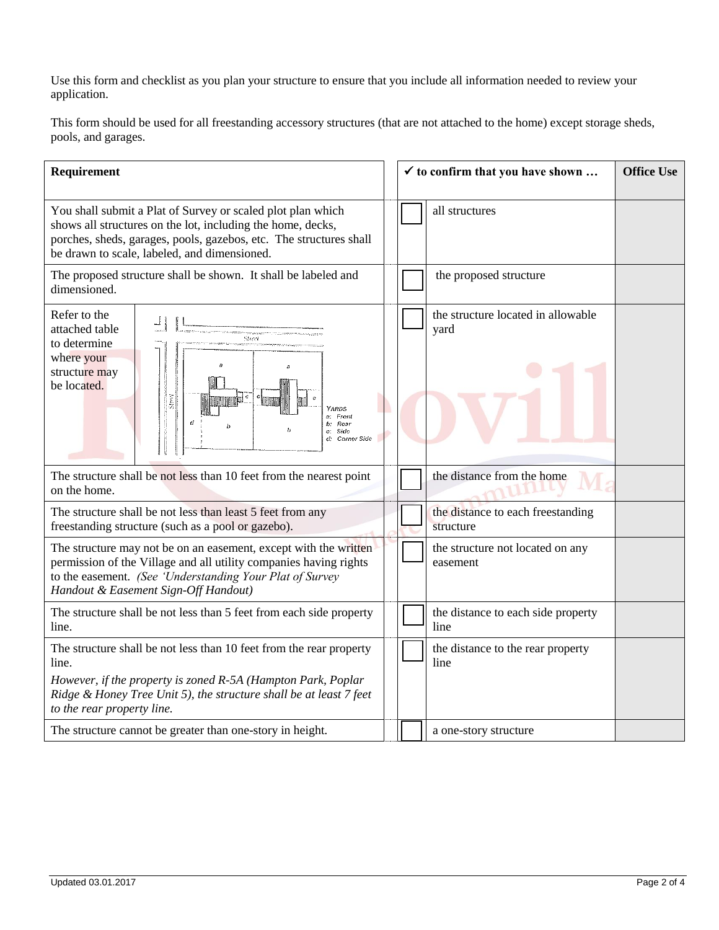Use this form and checklist as you plan your structure to ensure that you include all information needed to review your application.

This form should be used for all freestanding accessory structures (that are not attached to the home) except storage sheds, pools, and garages.

| Requirement                                                                                                                                                                                                                                      |  |  | $\checkmark$ to confirm that you have shown    | <b>Office Use</b> |
|--------------------------------------------------------------------------------------------------------------------------------------------------------------------------------------------------------------------------------------------------|--|--|------------------------------------------------|-------------------|
| You shall submit a Plat of Survey or scaled plot plan which<br>shows all structures on the lot, including the home, decks,<br>porches, sheds, garages, pools, gazebos, etc. The structures shall<br>be drawn to scale, labeled, and dimensioned. |  |  | all structures                                 |                   |
| The proposed structure shall be shown. It shall be labeled and<br>dimensioned.                                                                                                                                                                   |  |  | the proposed structure                         |                   |
| Refer to the<br>attached table<br>Street<br>to determine<br>where your<br>h<br>structure may<br>be located.<br>Sbrei<br>YARDS<br>a: Front<br>d<br>b: Rear<br>c: Sido<br>d: Corner Side                                                           |  |  | the structure located in allowable<br>yard     |                   |
| The structure shall be not less than 10 feet from the nearest point<br>on the home.                                                                                                                                                              |  |  | the distance from the home                     |                   |
| The structure shall be not less than least 5 feet from any<br>freestanding structure (such as a pool or gazebo).                                                                                                                                 |  |  | the distance to each freestanding<br>structure |                   |
| The structure may not be on an easement, except with the written<br>permission of the Village and all utility companies having rights<br>to the easement. (See 'Understanding Your Plat of Survey<br>Handout & Easement Sign-Off Handout)        |  |  | the structure not located on any<br>easement   |                   |
| The structure shall be not less than 5 feet from each side property<br>line.                                                                                                                                                                     |  |  | the distance to each side property<br>line     |                   |
| The structure shall be not less than 10 feet from the rear property<br>line.<br>However, if the property is zoned R-5A (Hampton Park, Poplar<br>Ridge & Honey Tree Unit 5), the structure shall be at least 7 feet<br>to the rear property line. |  |  | the distance to the rear property<br>line      |                   |
| The structure cannot be greater than one-story in height.                                                                                                                                                                                        |  |  | a one-story structure                          |                   |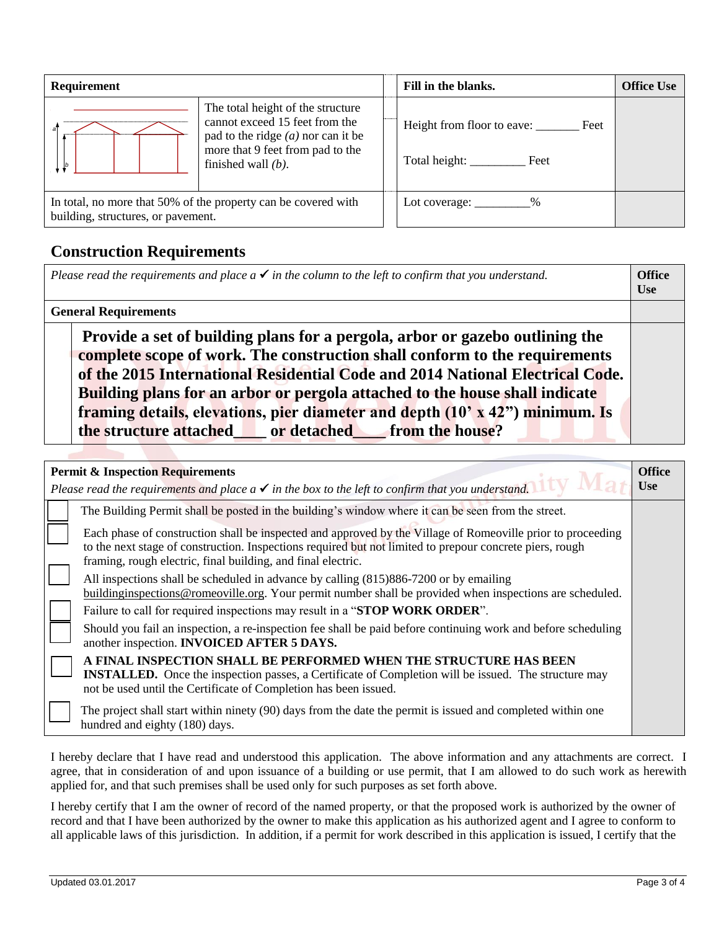| Requirement                                                                                          |                                                                                                                                                                          |  | Fill in the blanks.                                   | <b>Office Use</b> |
|------------------------------------------------------------------------------------------------------|--------------------------------------------------------------------------------------------------------------------------------------------------------------------------|--|-------------------------------------------------------|-------------------|
| a                                                                                                    | The total height of the structure<br>cannot exceed 15 feet from the<br>pad to the ridge $(a)$ nor can it be<br>more that 9 feet from pad to the<br>finished wall $(b)$ . |  | Height from floor to eave: Feet<br>Total height: Feet |                   |
| In total, no more that 50% of the property can be covered with<br>building, structures, or pavement. |                                                                                                                                                                          |  | Lot coverage: $\frac{\%}{\%}$                         |                   |

## **Construction Requirements**

|                                                                                                                                                                                                                                                                                                                                                                                                                                                                  | <b>Use</b> |
|------------------------------------------------------------------------------------------------------------------------------------------------------------------------------------------------------------------------------------------------------------------------------------------------------------------------------------------------------------------------------------------------------------------------------------------------------------------|------------|
| <b>General Requirements</b>                                                                                                                                                                                                                                                                                                                                                                                                                                      |            |
| Provide a set of building plans for a pergola, arbor or gazebo outlining the<br>complete scope of work. The construction shall conform to the requirements<br>of the 2015 International Residential Code and 2014 National Electrical Code.<br>Building plans for an arbor or pergola attached to the house shall indicate<br>framing details, elevations, pier diameter and depth (10' x 42") minimum. Is<br>the structure attached or detached from the house? |            |

| <b>Permit &amp; Inspection Requirements</b><br>Please read the requirements and place $a \checkmark$ in the box to the left to confirm that you understand.                                                                                                                             | <b>Office</b><br><b>Use</b> |
|-----------------------------------------------------------------------------------------------------------------------------------------------------------------------------------------------------------------------------------------------------------------------------------------|-----------------------------|
| The Building Permit shall be posted in the building's window where it can be seen from the street.                                                                                                                                                                                      |                             |
| Each phase of construction shall be inspected and approved by the Village of Romeoville prior to proceeding<br>to the next stage of construction. Inspections required but not limited to prepour concrete piers, rough<br>framing, rough electric, final building, and final electric. |                             |
| All inspections shall be scheduled in advance by calling (815)886-7200 or by emailing<br>buildinginspections@romeoville.org. Your permit number shall be provided when inspections are scheduled.                                                                                       |                             |
| Failure to call for required inspections may result in a "STOP WORK ORDER".                                                                                                                                                                                                             |                             |
| Should you fail an inspection, a re-inspection fee shall be paid before continuing work and before scheduling<br>another inspection. <b>INVOICED AFTER 5 DAYS.</b>                                                                                                                      |                             |
| A FINAL INSPECTION SHALL BE PERFORMED WHEN THE STRUCTURE HAS BEEN<br><b>INSTALLED.</b> Once the inspection passes, a Certificate of Completion will be issued. The structure may<br>not be used until the Certificate of Completion has been issued.                                    |                             |
| The project shall start within ninety (90) days from the date the permit is issued and completed within one<br>hundred and eighty (180) days.                                                                                                                                           |                             |

I hereby declare that I have read and understood this application. The above information and any attachments are correct. I agree, that in consideration of and upon issuance of a building or use permit, that I am allowed to do such work as herewith applied for, and that such premises shall be used only for such purposes as set forth above.

I hereby certify that I am the owner of record of the named property, or that the proposed work is authorized by the owner of record and that I have been authorized by the owner to make this application as his authorized agent and I agree to conform to all applicable laws of this jurisdiction. In addition, if a permit for work described in this application is issued, I certify that the